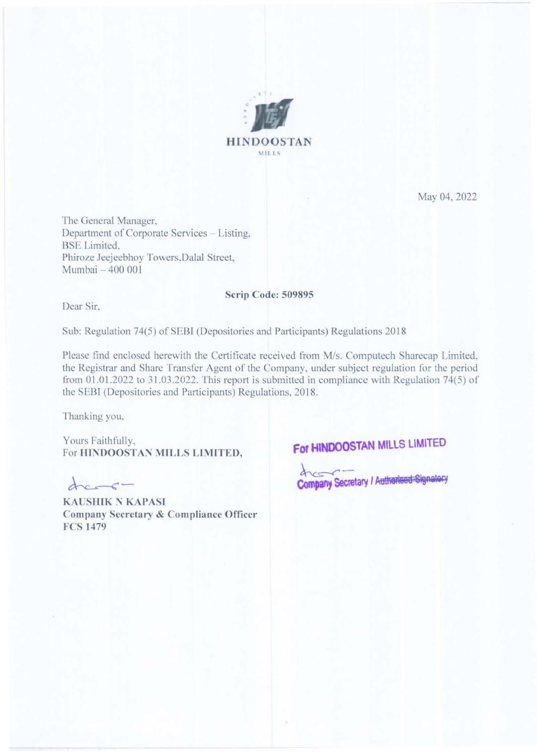

May 04, 2022

The General Manager, Department of Corporate Services - Listing, **BSE** Limited, Phiroze Jeejeebhoy Towers, Dalal Street, Mumbai - 400 001

## Scrip Code: 509895

Dear Sir,

Sub: Regulation 74(5) of SEBI (Depositories and Participants) Regulations 2018

Please find enclosed herewith the Certificate received from M/s. Computech Sharecap Limited, the Registrar and Share Transfer Agent of the Company, under subject regulation for the period from  $01.01.2022$  to  $31.03.2022$ . This report is submitted in compliance with Regulation 74(5) of the SEBI (Depositories and Participants) Regulations, 2018.

Thanking you,

Yours Faithfully, For HINDOOSTAN MILLS LIMITED,

 $\Delta x \rightarrow c$ 

**KAUSHIK N KAPASI** Company Secretary & Compliance Officer **FCS 1479** 

## For HINDOOSTAN MILLS LIMITED

Company Secretary / Autherised Signatory